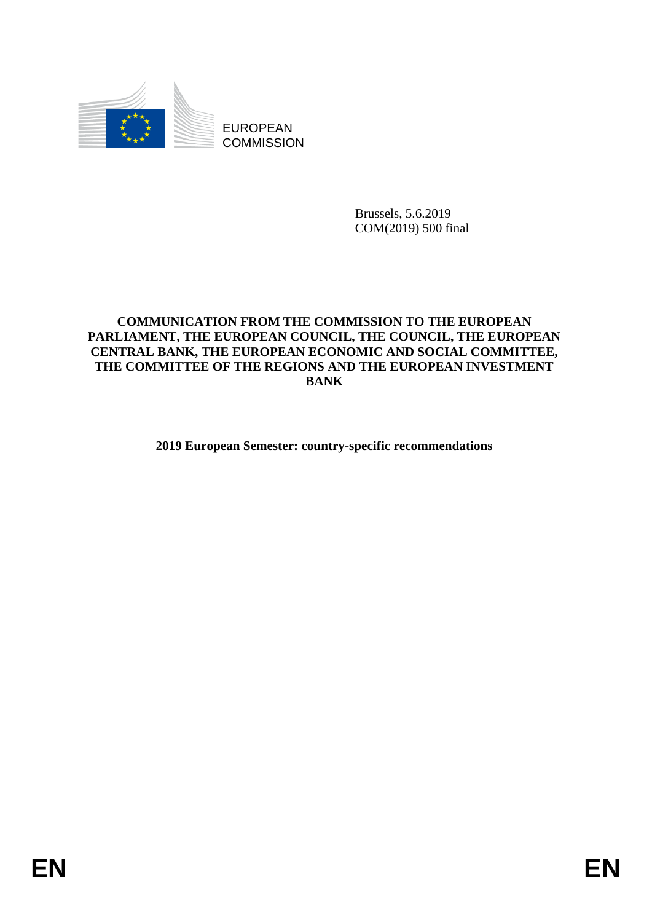

EUROPEAN **COMMISSION** 

> Brussels, 5.6.2019 COM(2019) 500 final

## **COMMUNICATION FROM THE COMMISSION TO THE EUROPEAN PARLIAMENT, THE EUROPEAN COUNCIL, THE COUNCIL, THE EUROPEAN CENTRAL BANK, THE EUROPEAN ECONOMIC AND SOCIAL COMMITTEE, THE COMMITTEE OF THE REGIONS AND THE EUROPEAN INVESTMENT BANK**

**2019 European Semester: country-specific recommendations**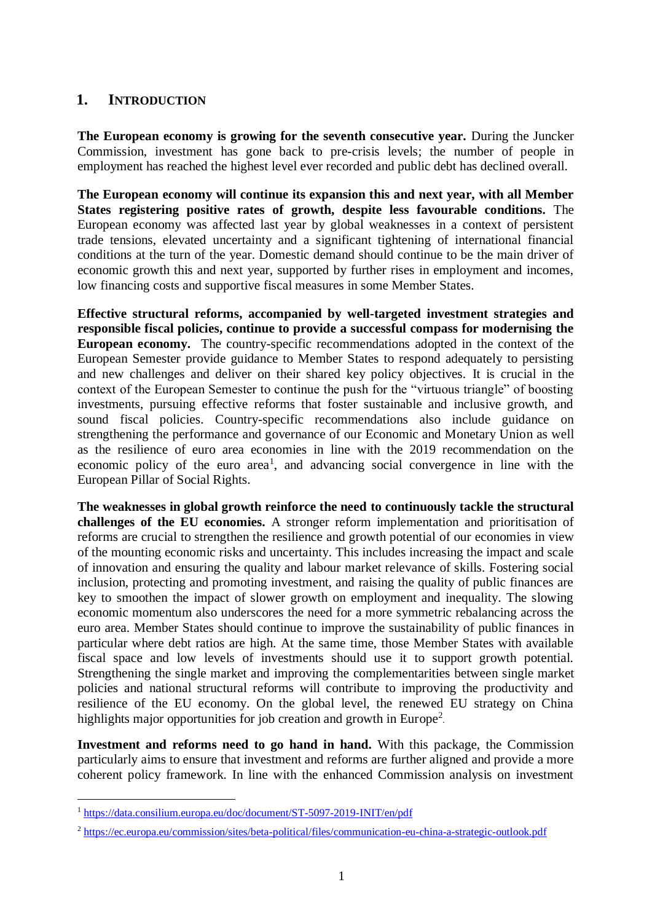# **1. INTRODUCTION**

**The European economy is growing for the seventh consecutive year.** During the Juncker Commission, investment has gone back to pre-crisis levels; the number of people in employment has reached the highest level ever recorded and public debt has declined overall.

**The European economy will continue its expansion this and next year, with all Member States registering positive rates of growth, despite less favourable conditions.** The European economy was affected last year by global weaknesses in a context of persistent trade tensions, elevated uncertainty and a significant tightening of international financial conditions at the turn of the year. Domestic demand should continue to be the main driver of economic growth this and next year, supported by further rises in employment and incomes, low financing costs and supportive fiscal measures in some Member States.

**Effective structural reforms, accompanied by well-targeted investment strategies and responsible fiscal policies, continue to provide a successful compass for modernising the European economy.** The country-specific recommendations adopted in the context of the European Semester provide guidance to Member States to respond adequately to persisting and new challenges and deliver on their shared key policy objectives. It is crucial in the context of the European Semester to continue the push for the "virtuous triangle" of boosting investments, pursuing effective reforms that foster sustainable and inclusive growth, and sound fiscal policies. Country-specific recommendations also include guidance on strengthening the performance and governance of our Economic and Monetary Union as well as the resilience of euro area economies in line with the 2019 recommendation on the economic policy of the euro area<sup>1</sup>, and advancing social convergence in line with the European Pillar of Social Rights.

**The weaknesses in global growth reinforce the need to continuously tackle the structural challenges of the EU economies.** A stronger reform implementation and prioritisation of reforms are crucial to strengthen the resilience and growth potential of our economies in view of the mounting economic risks and uncertainty. This includes increasing the impact and scale of innovation and ensuring the quality and labour market relevance of skills. Fostering social inclusion, protecting and promoting investment, and raising the quality of public finances are key to smoothen the impact of slower growth on employment and inequality. The slowing economic momentum also underscores the need for a more symmetric rebalancing across the euro area. Member States should continue to improve the sustainability of public finances in particular where debt ratios are high. At the same time, those Member States with available fiscal space and low levels of investments should use it to support growth potential. Strengthening the single market and improving the complementarities between single market policies and national structural reforms will contribute to improving the productivity and resilience of the EU economy. On the global level, the renewed EU strategy on China highlights major opportunities for job creation and growth in Europe<sup>2</sup>.

**Investment and reforms need to go hand in hand.** With this package, the Commission particularly aims to ensure that investment and reforms are further aligned and provide a more coherent policy framework. In line with the enhanced Commission analysis on investment

l

<sup>1</sup> <https://data.consilium.europa.eu/doc/document/ST-5097-2019-INIT/en/pdf>

<sup>2</sup> <https://ec.europa.eu/commission/sites/beta-political/files/communication-eu-china-a-strategic-outlook.pdf>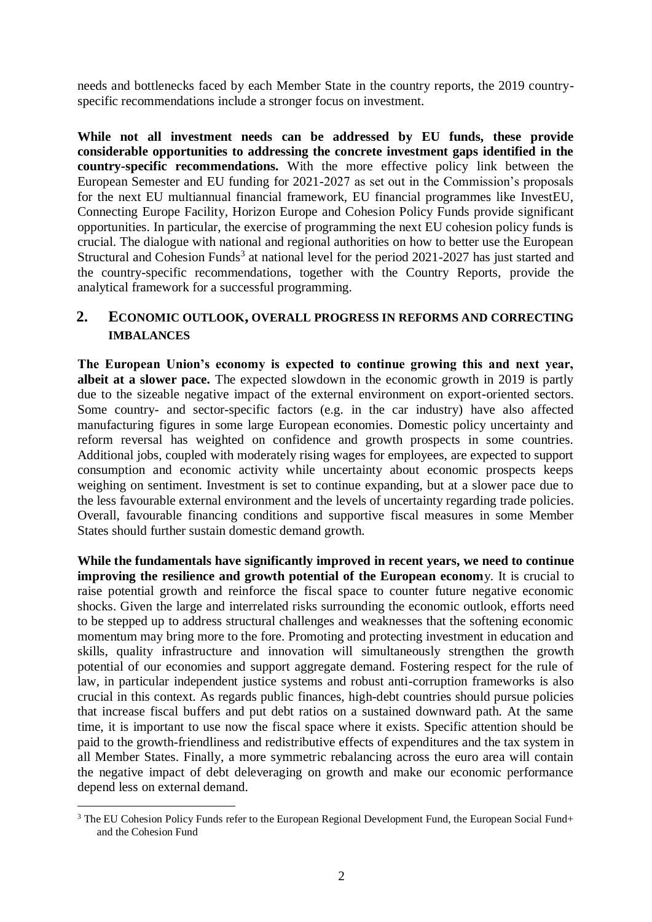needs and bottlenecks faced by each Member State in the country reports, the 2019 countryspecific recommendations include a stronger focus on investment.

**While not all investment needs can be addressed by EU funds, these provide considerable opportunities to addressing the concrete investment gaps identified in the country-specific recommendations.** With the more effective policy link between the European Semester and EU funding for 2021-2027 as set out in the Commission's proposals for the next EU multiannual financial framework, EU financial programmes like InvestEU, Connecting Europe Facility, Horizon Europe and Cohesion Policy Funds provide significant opportunities. In particular, the exercise of programming the next EU cohesion policy funds is crucial. The dialogue with national and regional authorities on how to better use the European Structural and Cohesion Funds<sup>3</sup> at national level for the period  $2021-2027$  has just started and the country-specific recommendations, together with the Country Reports, provide the analytical framework for a successful programming.

## **2. ECONOMIC OUTLOOK, OVERALL PROGRESS IN REFORMS AND CORRECTING IMBALANCES**

**The European Union's economy is expected to continue growing this and next year, albeit at a slower pace.** The expected slowdown in the economic growth in 2019 is partly due to the sizeable negative impact of the external environment on export-oriented sectors. Some country- and sector-specific factors (e.g. in the car industry) have also affected manufacturing figures in some large European economies. Domestic policy uncertainty and reform reversal has weighted on confidence and growth prospects in some countries. Additional jobs, coupled with moderately rising wages for employees, are expected to support consumption and economic activity while uncertainty about economic prospects keeps weighing on sentiment. Investment is set to continue expanding, but at a slower pace due to the less favourable external environment and the levels of uncertainty regarding trade policies. Overall, favourable financing conditions and supportive fiscal measures in some Member States should further sustain domestic demand growth.

**While the fundamentals have significantly improved in recent years, we need to continue improving the resilience and growth potential of the European econom**y. It is crucial to raise potential growth and reinforce the fiscal space to counter future negative economic shocks. Given the large and interrelated risks surrounding the economic outlook, efforts need to be stepped up to address structural challenges and weaknesses that the softening economic momentum may bring more to the fore. Promoting and protecting investment in education and skills, quality infrastructure and innovation will simultaneously strengthen the growth potential of our economies and support aggregate demand. Fostering respect for the rule of law, in particular independent justice systems and robust anti-corruption frameworks is also crucial in this context. As regards public finances, high-debt countries should pursue policies that increase fiscal buffers and put debt ratios on a sustained downward path. At the same time, it is important to use now the fiscal space where it exists. Specific attention should be paid to the growth-friendliness and redistributive effects of expenditures and the tax system in all Member States. Finally, a more symmetric rebalancing across the euro area will contain the negative impact of debt deleveraging on growth and make our economic performance depend less on external demand.

l <sup>3</sup> The EU Cohesion Policy Funds refer to the European Regional Development Fund, the European Social Fund+ and the Cohesion Fund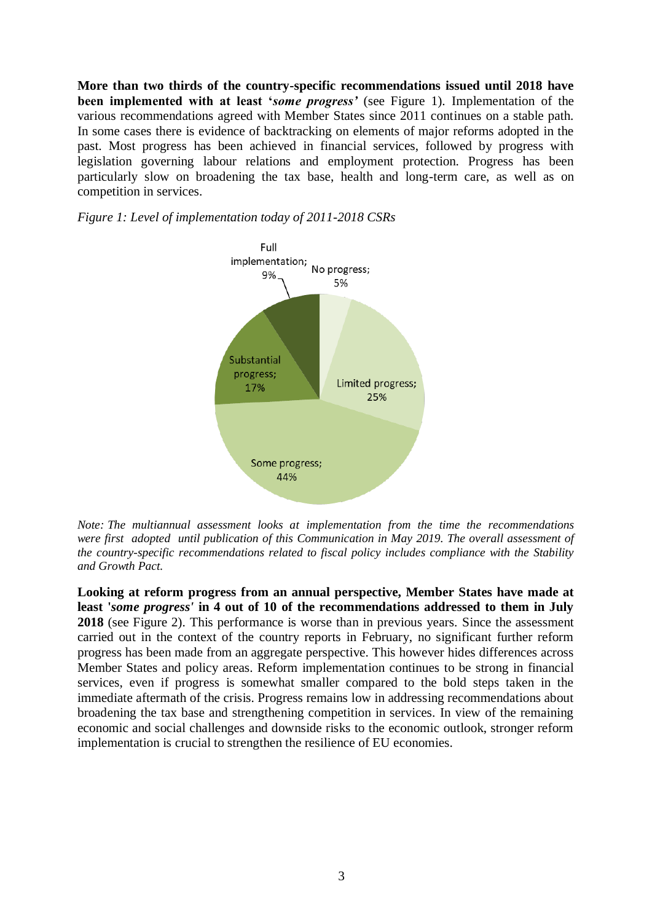**More than two thirds of the country-specific recommendations issued until 2018 have been implemented with at least '***some progress'* (see Figure 1). Implementation of the various recommendations agreed with Member States since 2011 continues on a stable path. In some cases there is evidence of backtracking on elements of major reforms adopted in the past. Most progress has been achieved in financial services, followed by progress with legislation governing labour relations and employment protection. Progress has been particularly slow on broadening the tax base, health and long-term care, as well as on competition in services.

*Figure 1: Level of implementation today of 2011-2018 CSRs*



*Note: The multiannual assessment looks at implementation from the time the recommendations were first adopted until publication of this Communication in May 2019. The overall assessment of the country-specific recommendations related to fiscal policy includes compliance with the Stability and Growth Pact.*

**Looking at reform progress from an annual perspective, Member States have made at least '***some progress'* **in 4 out of 10 of the recommendations addressed to them in July 2018** (see Figure 2). This performance is worse than in previous years. Since the assessment carried out in the context of the country reports in February, no significant further reform progress has been made from an aggregate perspective. This however hides differences across Member States and policy areas. Reform implementation continues to be strong in financial services, even if progress is somewhat smaller compared to the bold steps taken in the immediate aftermath of the crisis. Progress remains low in addressing recommendations about broadening the tax base and strengthening competition in services. In view of the remaining economic and social challenges and downside risks to the economic outlook, stronger reform implementation is crucial to strengthen the resilience of EU economies.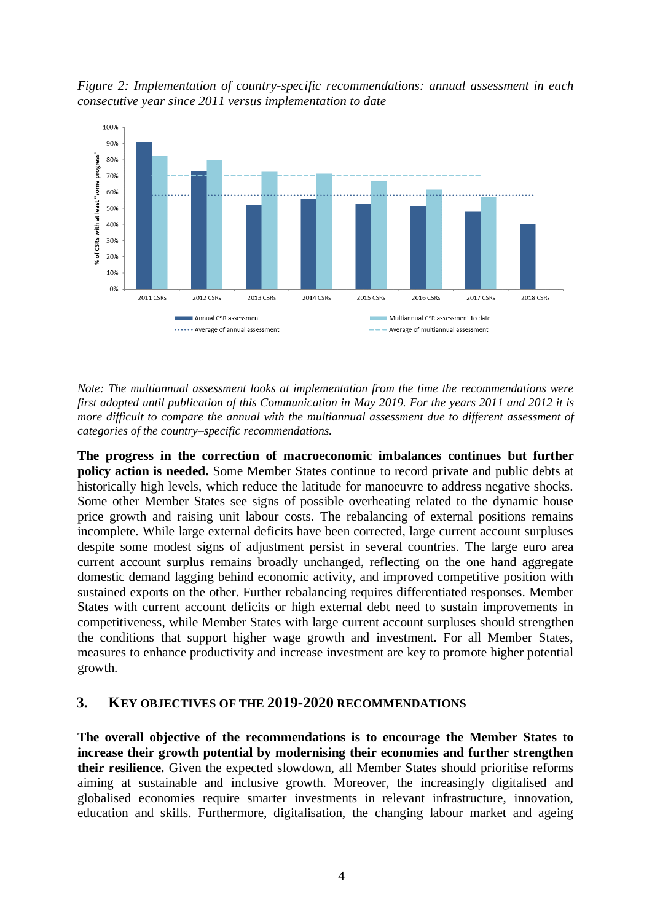*Figure 2: Implementation of country-specific recommendations: annual assessment in each consecutive year since 2011 versus implementation to date* 



*Note: The multiannual assessment looks at implementation from the time the recommendations were first adopted until publication of this Communication in May 2019. For the years 2011 and 2012 it is more difficult to compare the annual with the multiannual assessment due to different assessment of categories of the country–specific recommendations.*

**The progress in the correction of macroeconomic imbalances continues but further policy action is needed.** Some Member States continue to record private and public debts at historically high levels, which reduce the latitude for manoeuvre to address negative shocks. Some other Member States see signs of possible overheating related to the dynamic house price growth and raising unit labour costs. The rebalancing of external positions remains incomplete. While large external deficits have been corrected, large current account surpluses despite some modest signs of adjustment persist in several countries. The large euro area current account surplus remains broadly unchanged, reflecting on the one hand aggregate domestic demand lagging behind economic activity, and improved competitive position with sustained exports on the other. Further rebalancing requires differentiated responses. Member States with current account deficits or high external debt need to sustain improvements in competitiveness, while Member States with large current account surpluses should strengthen the conditions that support higher wage growth and investment. For all Member States, measures to enhance productivity and increase investment are key to promote higher potential growth.

### **3. KEY OBJECTIVES OF THE 2019-2020 RECOMMENDATIONS**

**The overall objective of the recommendations is to encourage the Member States to increase their growth potential by modernising their economies and further strengthen their resilience.** Given the expected slowdown, all Member States should prioritise reforms aiming at sustainable and inclusive growth. Moreover, the increasingly digitalised and globalised economies require smarter investments in relevant infrastructure, innovation, education and skills. Furthermore, digitalisation, the changing labour market and ageing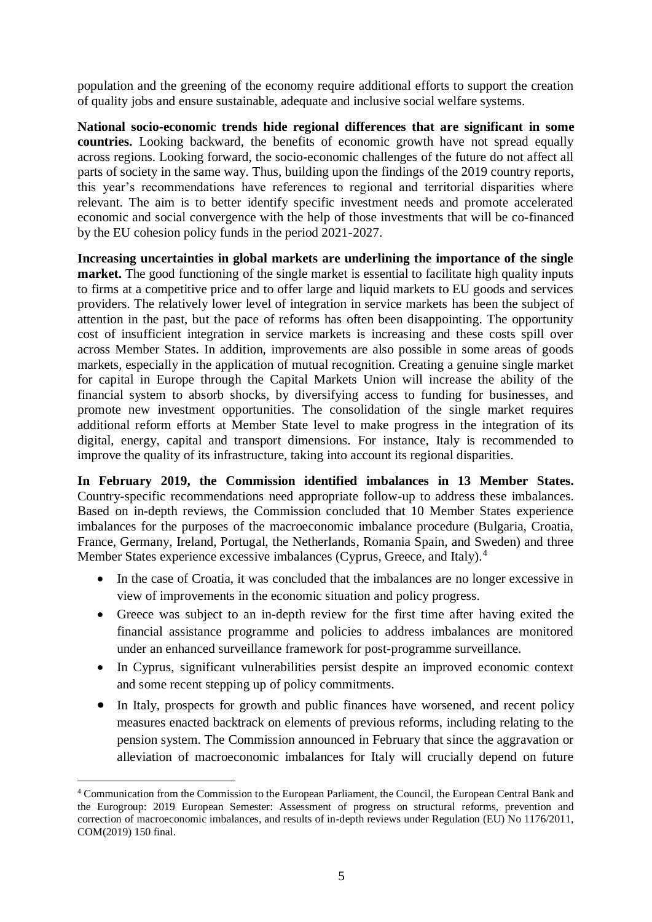population and the greening of the economy require additional efforts to support the creation of quality jobs and ensure sustainable, adequate and inclusive social welfare systems.

**National socio-economic trends hide regional differences that are significant in some countries.** Looking backward, the benefits of economic growth have not spread equally across regions. Looking forward, the socio-economic challenges of the future do not affect all parts of society in the same way. Thus, building upon the findings of the 2019 country reports, this year's recommendations have references to regional and territorial disparities where relevant. The aim is to better identify specific investment needs and promote accelerated economic and social convergence with the help of those investments that will be co-financed by the EU cohesion policy funds in the period 2021-2027.

**Increasing uncertainties in global markets are underlining the importance of the single market.** The good functioning of the single market is essential to facilitate high quality inputs to firms at a competitive price and to offer large and liquid markets to EU goods and services providers. The relatively lower level of integration in service markets has been the subject of attention in the past, but the pace of reforms has often been disappointing. The opportunity cost of insufficient integration in service markets is increasing and these costs spill over across Member States. In addition, improvements are also possible in some areas of goods markets, especially in the application of mutual recognition. Creating a genuine single market for capital in Europe through the Capital Markets Union will increase the ability of the financial system to absorb shocks, by diversifying access to funding for businesses, and promote new investment opportunities. The consolidation of the single market requires additional reform efforts at Member State level to make progress in the integration of its digital, energy, capital and transport dimensions. For instance, Italy is recommended to improve the quality of its infrastructure, taking into account its regional disparities.

**In February 2019, the Commission identified imbalances in 13 Member States.**  Country-specific recommendations need appropriate follow-up to address these imbalances. Based on in-depth reviews, the Commission concluded that 10 Member States experience imbalances for the purposes of the macroeconomic imbalance procedure (Bulgaria, Croatia, France, Germany, Ireland, Portugal, the Netherlands, Romania Spain, and Sweden) and three Member States experience excessive imbalances (Cyprus, Greece, and Italy).<sup>4</sup>

- In the case of Croatia, it was concluded that the imbalances are no longer excessive in view of improvements in the economic situation and policy progress.
- Greece was subject to an in-depth review for the first time after having exited the financial assistance programme and policies to address imbalances are monitored under an enhanced surveillance framework for post-programme surveillance.
- In Cyprus, significant vulnerabilities persist despite an improved economic context and some recent stepping up of policy commitments.
- In Italy, prospects for growth and public finances have worsened, and recent policy measures enacted backtrack on elements of previous reforms, including relating to the pension system. The Commission announced in February that since the aggravation or alleviation of macroeconomic imbalances for Italy will crucially depend on future

l

<sup>4</sup> Communication from the Commission to the European Parliament, the Council, the European Central Bank and the Eurogroup: 2019 European Semester: Assessment of progress on structural reforms, prevention and correction of macroeconomic imbalances, and results of in-depth reviews under Regulation (EU) No 1176/2011, COM(2019) 150 final.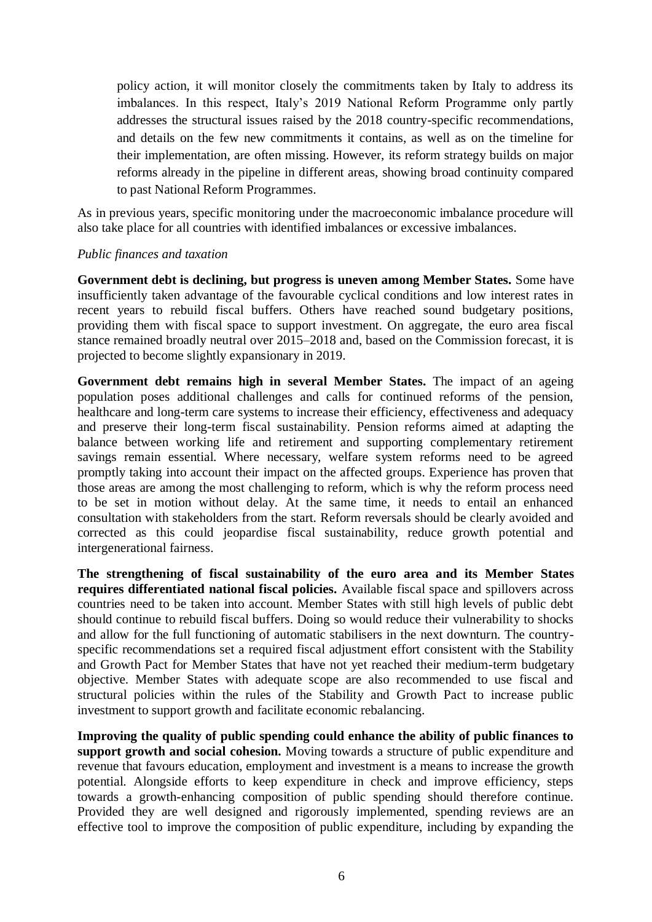policy action, it will monitor closely the commitments taken by Italy to address its imbalances. In this respect, Italy's 2019 National Reform Programme only partly addresses the structural issues raised by the 2018 country-specific recommendations, and details on the few new commitments it contains, as well as on the timeline for their implementation, are often missing. However, its reform strategy builds on major reforms already in the pipeline in different areas, showing broad continuity compared to past National Reform Programmes.

As in previous years, specific monitoring under the macroeconomic imbalance procedure will also take place for all countries with identified imbalances or excessive imbalances.

#### *Public finances and taxation*

**Government debt is declining, but progress is uneven among Member States.** Some have insufficiently taken advantage of the favourable cyclical conditions and low interest rates in recent years to rebuild fiscal buffers. Others have reached sound budgetary positions, providing them with fiscal space to support investment. On aggregate, the euro area fiscal stance remained broadly neutral over 2015–2018 and, based on the Commission forecast, it is projected to become slightly expansionary in 2019.

**Government debt remains high in several Member States.** The impact of an ageing population poses additional challenges and calls for continued reforms of the pension, healthcare and long-term care systems to increase their efficiency, effectiveness and adequacy and preserve their long-term fiscal sustainability. Pension reforms aimed at adapting the balance between working life and retirement and supporting complementary retirement savings remain essential. Where necessary, welfare system reforms need to be agreed promptly taking into account their impact on the affected groups. Experience has proven that those areas are among the most challenging to reform, which is why the reform process need to be set in motion without delay. At the same time, it needs to entail an enhanced consultation with stakeholders from the start. Reform reversals should be clearly avoided and corrected as this could jeopardise fiscal sustainability, reduce growth potential and intergenerational fairness.

**The strengthening of fiscal sustainability of the euro area and its Member States requires differentiated national fiscal policies.** Available fiscal space and spillovers across countries need to be taken into account. Member States with still high levels of public debt should continue to rebuild fiscal buffers. Doing so would reduce their vulnerability to shocks and allow for the full functioning of automatic stabilisers in the next downturn. The countryspecific recommendations set a required fiscal adjustment effort consistent with the Stability and Growth Pact for Member States that have not yet reached their medium-term budgetary objective. Member States with adequate scope are also recommended to use fiscal and structural policies within the rules of the Stability and Growth Pact to increase public investment to support growth and facilitate economic rebalancing.

**Improving the quality of public spending could enhance the ability of public finances to support growth and social cohesion.** Moving towards a structure of public expenditure and revenue that favours education, employment and investment is a means to increase the growth potential. Alongside efforts to keep expenditure in check and improve efficiency, steps towards a growth-enhancing composition of public spending should therefore continue. Provided they are well designed and rigorously implemented, spending reviews are an effective tool to improve the composition of public expenditure, including by expanding the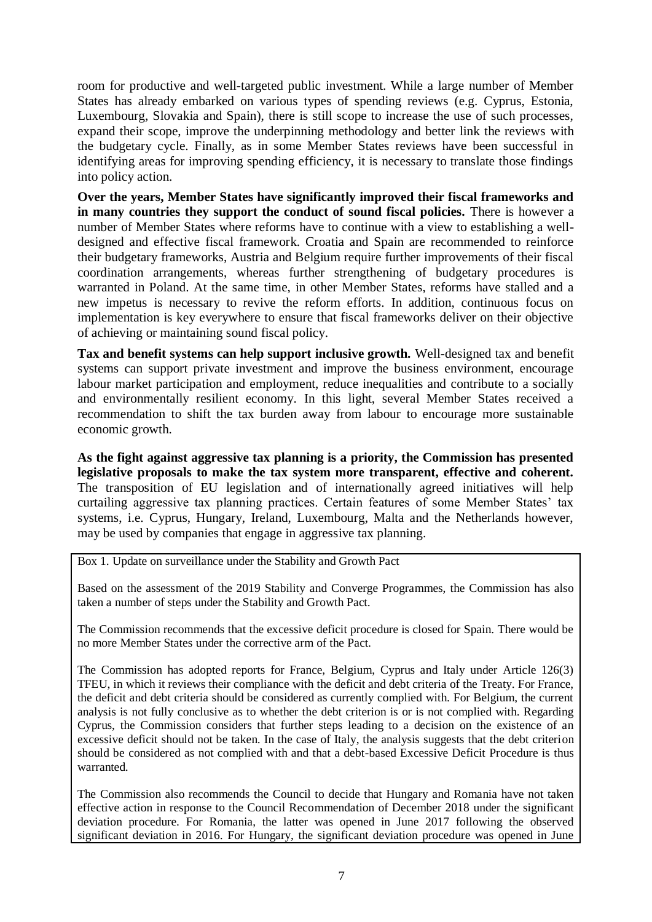room for productive and well-targeted public investment. While a large number of Member States has already embarked on various types of spending reviews (e.g. Cyprus, Estonia, Luxembourg, Slovakia and Spain), there is still scope to increase the use of such processes, expand their scope, improve the underpinning methodology and better link the reviews with the budgetary cycle. Finally, as in some Member States reviews have been successful in identifying areas for improving spending efficiency, it is necessary to translate those findings into policy action.

**Over the years, Member States have significantly improved their fiscal frameworks and in many countries they support the conduct of sound fiscal policies.** There is however a number of Member States where reforms have to continue with a view to establishing a welldesigned and effective fiscal framework. Croatia and Spain are recommended to reinforce their budgetary frameworks, Austria and Belgium require further improvements of their fiscal coordination arrangements, whereas further strengthening of budgetary procedures is warranted in Poland. At the same time, in other Member States, reforms have stalled and a new impetus is necessary to revive the reform efforts. In addition, continuous focus on implementation is key everywhere to ensure that fiscal frameworks deliver on their objective of achieving or maintaining sound fiscal policy.

**Tax and benefit systems can help support inclusive growth.** Well-designed tax and benefit systems can support private investment and improve the business environment, encourage labour market participation and employment, reduce inequalities and contribute to a socially and environmentally resilient economy. In this light, several Member States received a recommendation to shift the tax burden away from labour to encourage more sustainable economic growth.

**As the fight against aggressive tax planning is a priority, the Commission has presented legislative proposals to make the tax system more transparent, effective and coherent.** The transposition of EU legislation and of internationally agreed initiatives will help curtailing aggressive tax planning practices. Certain features of some Member States' tax systems, i.e. Cyprus, Hungary, Ireland, Luxembourg, Malta and the Netherlands however, may be used by companies that engage in aggressive tax planning.

Box 1. Update on surveillance under the Stability and Growth Pact

Based on the assessment of the 2019 Stability and Converge Programmes, the Commission has also taken a number of steps under the Stability and Growth Pact.

The Commission recommends that the excessive deficit procedure is closed for Spain. There would be no more Member States under the corrective arm of the Pact.

The Commission has adopted reports for France, Belgium, Cyprus and Italy under Article 126(3) TFEU, in which it reviews their compliance with the deficit and debt criteria of the Treaty. For France, the deficit and debt criteria should be considered as currently complied with. For Belgium, the current analysis is not fully conclusive as to whether the debt criterion is or is not complied with. Regarding Cyprus, the Commission considers that further steps leading to a decision on the existence of an excessive deficit should not be taken. In the case of Italy, the analysis suggests that the debt criterion should be considered as not complied with and that a debt-based Excessive Deficit Procedure is thus warranted.

The Commission also recommends the Council to decide that Hungary and Romania have not taken effective action in response to the Council Recommendation of December 2018 under the significant deviation procedure. For Romania, the latter was opened in June 2017 following the observed significant deviation in 2016. For Hungary, the significant deviation procedure was opened in June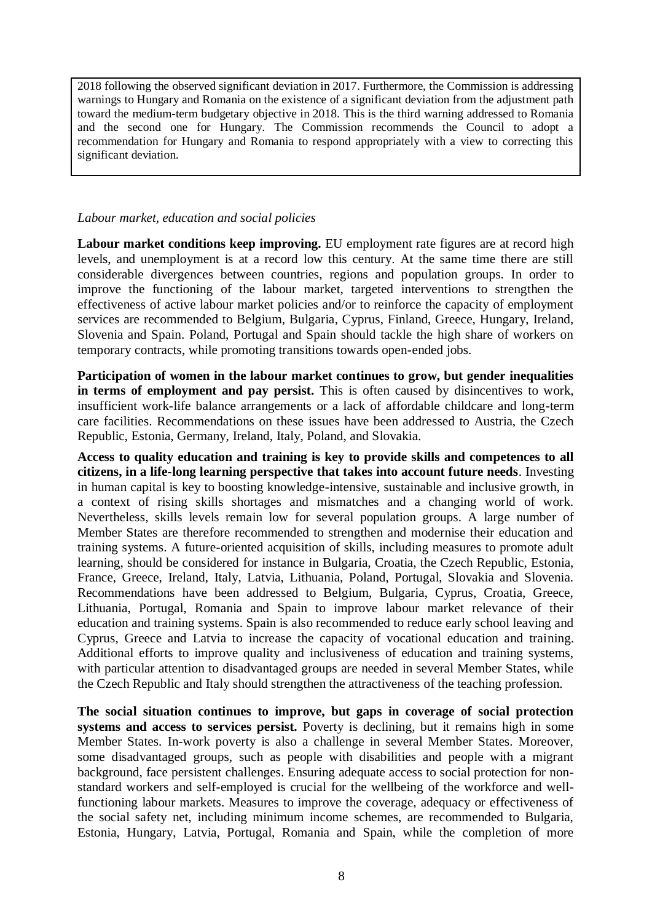2018 following the observed significant deviation in 2017. Furthermore, the Commission is addressing warnings to Hungary and Romania on the existence of a significant deviation from the adjustment path toward the medium-term budgetary objective in 2018. This is the third warning addressed to Romania and the second one for Hungary. The Commission recommends the Council to adopt a recommendation for Hungary and Romania to respond appropriately with a view to correcting this significant deviation.

#### *Labour market, education and social policies*

**Labour market conditions keep improving.** EU employment rate figures are at record high levels, and unemployment is at a record low this century. At the same time there are still considerable divergences between countries, regions and population groups. In order to improve the functioning of the labour market, targeted interventions to strengthen the effectiveness of active labour market policies and/or to reinforce the capacity of employment services are recommended to Belgium, Bulgaria, Cyprus, Finland, Greece, Hungary, Ireland, Slovenia and Spain. Poland, Portugal and Spain should tackle the high share of workers on temporary contracts, while promoting transitions towards open-ended jobs.

**Participation of women in the labour market continues to grow, but gender inequalities in terms of employment and pay persist.** This is often caused by disincentives to work, insufficient work-life balance arrangements or a lack of affordable childcare and long-term care facilities. Recommendations on these issues have been addressed to Austria, the Czech Republic, Estonia, Germany, Ireland, Italy, Poland, and Slovakia.

**Access to quality education and training is key to provide skills and competences to all citizens, in a life-long learning perspective that takes into account future needs**. Investing in human capital is key to boosting knowledge-intensive, sustainable and inclusive growth, in a context of rising skills shortages and mismatches and a changing world of work. Nevertheless, skills levels remain low for several population groups. A large number of Member States are therefore recommended to strengthen and modernise their education and training systems. A future-oriented acquisition of skills, including measures to promote adult learning, should be considered for instance in Bulgaria, Croatia, the Czech Republic, Estonia, France, Greece, Ireland, Italy, Latvia, Lithuania, Poland, Portugal, Slovakia and Slovenia. Recommendations have been addressed to Belgium, Bulgaria, Cyprus, Croatia, Greece, Lithuania, Portugal, Romania and Spain to improve labour market relevance of their education and training systems. Spain is also recommended to reduce early school leaving and Cyprus, Greece and Latvia to increase the capacity of vocational education and training. Additional efforts to improve quality and inclusiveness of education and training systems, with particular attention to disadvantaged groups are needed in several Member States, while the Czech Republic and Italy should strengthen the attractiveness of the teaching profession.

**The social situation continues to improve, but gaps in coverage of social protection systems and access to services persist.** Poverty is declining, but it remains high in some Member States. In-work poverty is also a challenge in several Member States. Moreover, some disadvantaged groups, such as people with disabilities and people with a migrant background, face persistent challenges. Ensuring adequate access to social protection for nonstandard workers and self-employed is crucial for the wellbeing of the workforce and wellfunctioning labour markets. Measures to improve the coverage, adequacy or effectiveness of the social safety net, including minimum income schemes, are recommended to Bulgaria, Estonia, Hungary, Latvia, Portugal, Romania and Spain, while the completion of more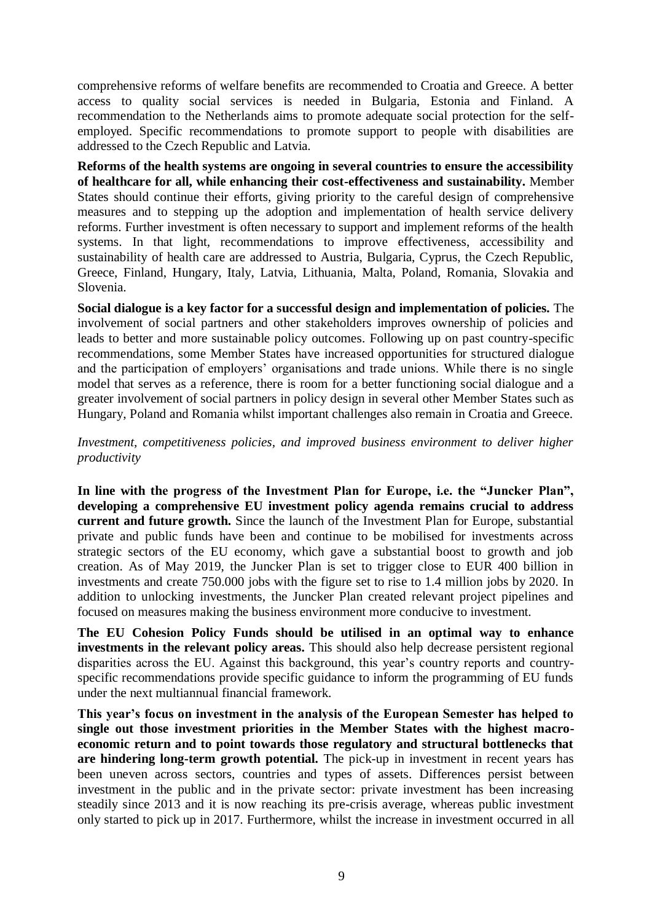comprehensive reforms of welfare benefits are recommended to Croatia and Greece. A better access to quality social services is needed in Bulgaria, Estonia and Finland. A recommendation to the Netherlands aims to promote adequate social protection for the selfemployed. Specific recommendations to promote support to people with disabilities are addressed to the Czech Republic and Latvia.

**Reforms of the health systems are ongoing in several countries to ensure the accessibility of healthcare for all, while enhancing their cost-effectiveness and sustainability.** Member States should continue their efforts, giving priority to the careful design of comprehensive measures and to stepping up the adoption and implementation of health service delivery reforms. Further investment is often necessary to support and implement reforms of the health systems. In that light, recommendations to improve effectiveness, accessibility and sustainability of health care are addressed to Austria, Bulgaria, Cyprus, the Czech Republic, Greece, Finland, Hungary, Italy, Latvia, Lithuania, Malta, Poland, Romania, Slovakia and Slovenia.

**Social dialogue is a key factor for a successful design and implementation of policies***.* The involvement of social partners and other stakeholders improves ownership of policies and leads to better and more sustainable policy outcomes. Following up on past country-specific recommendations, some Member States have increased opportunities for structured dialogue and the participation of employers' organisations and trade unions. While there is no single model that serves as a reference, there is room for a better functioning social dialogue and a greater involvement of social partners in policy design in several other Member States such as Hungary, Poland and Romania whilst important challenges also remain in Croatia and Greece.

*Investment, competitiveness policies, and improved business environment to deliver higher productivity*

**In line with the progress of the Investment Plan for Europe, i.e. the "Juncker Plan", developing a comprehensive EU investment policy agenda remains crucial to address current and future growth.** Since the launch of the Investment Plan for Europe, substantial private and public funds have been and continue to be mobilised for investments across strategic sectors of the EU economy, which gave a substantial boost to growth and job creation. As of May 2019, the Juncker Plan is set to trigger close to EUR 400 billion in investments and create 750.000 jobs with the figure set to rise to 1.4 million jobs by 2020. In addition to unlocking investments, the Juncker Plan created relevant project pipelines and focused on measures making the business environment more conducive to investment.

**The EU Cohesion Policy Funds should be utilised in an optimal way to enhance investments in the relevant policy areas.** This should also help decrease persistent regional disparities across the EU. Against this background, this year's country reports and countryspecific recommendations provide specific guidance to inform the programming of EU funds under the next multiannual financial framework.

**This year's focus on investment in the analysis of the European Semester has helped to single out those investment priorities in the Member States with the highest macroeconomic return and to point towards those regulatory and structural bottlenecks that are hindering long-term growth potential.** The pick-up in investment in recent years has been uneven across sectors, countries and types of assets. Differences persist between investment in the public and in the private sector: private investment has been increasing steadily since 2013 and it is now reaching its pre-crisis average, whereas public investment only started to pick up in 2017. Furthermore, whilst the increase in investment occurred in all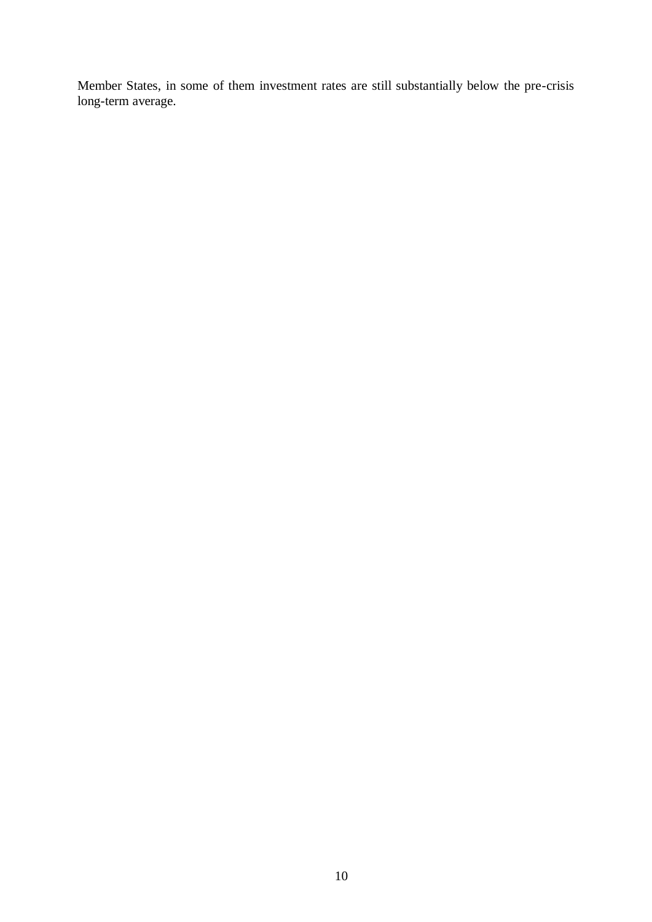Member States, in some of them investment rates are still substantially below the pre-crisis long-term average.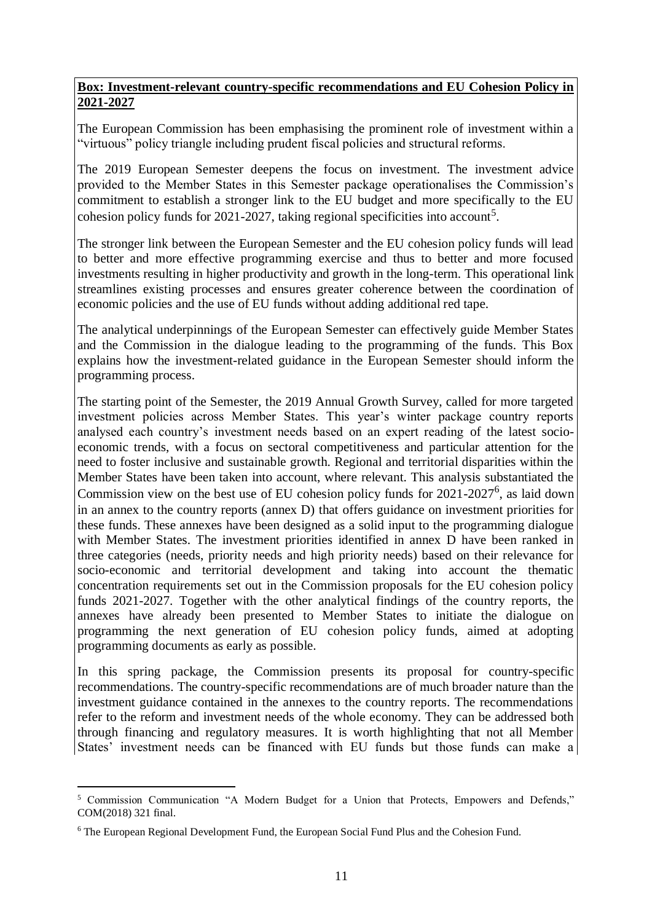#### **Box: Investment-relevant country-specific recommendations and EU Cohesion Policy in 2021-2027**

The European Commission has been emphasising the prominent role of investment within a "virtuous" policy triangle including prudent fiscal policies and structural reforms.

The 2019 European Semester deepens the focus on investment. The investment advice provided to the Member States in this Semester package operationalises the Commission's commitment to establish a stronger link to the EU budget and more specifically to the EU cohesion policy funds for 2021-2027, taking regional specificities into account<sup>5</sup>.

The stronger link between the European Semester and the EU cohesion policy funds will lead to better and more effective programming exercise and thus to better and more focused investments resulting in higher productivity and growth in the long-term. This operational link streamlines existing processes and ensures greater coherence between the coordination of economic policies and the use of EU funds without adding additional red tape.

The analytical underpinnings of the European Semester can effectively guide Member States and the Commission in the dialogue leading to the programming of the funds. This Box explains how the investment-related guidance in the European Semester should inform the programming process.

The starting point of the Semester, the 2019 Annual Growth Survey, called for more targeted investment policies across Member States. This year's winter package country reports analysed each country's investment needs based on an expert reading of the latest socioeconomic trends, with a focus on sectoral competitiveness and particular attention for the need to foster inclusive and sustainable growth. Regional and territorial disparities within the Member States have been taken into account, where relevant. This analysis substantiated the Commission view on the best use of EU cohesion policy funds for  $2021-2027^6$ , as laid down in an annex to the country reports (annex D) that offers guidance on investment priorities for these funds. These annexes have been designed as a solid input to the programming dialogue with Member States. The investment priorities identified in annex D have been ranked in three categories (needs, priority needs and high priority needs) based on their relevance for socio-economic and territorial development and taking into account the thematic concentration requirements set out in the Commission proposals for the EU cohesion policy funds 2021-2027. Together with the other analytical findings of the country reports, the annexes have already been presented to Member States to initiate the dialogue on programming the next generation of EU cohesion policy funds, aimed at adopting programming documents as early as possible.

In this spring package, the Commission presents its proposal for country-specific recommendations. The country-specific recommendations are of much broader nature than the investment guidance contained in the annexes to the country reports. The recommendations refer to the reform and investment needs of the whole economy. They can be addressed both through financing and regulatory measures. It is worth highlighting that not all Member States' investment needs can be financed with EU funds but those funds can make a

 <sup>5</sup> Commission Communication "A Modern Budget for a Union that Protects, Empowers and Defends," COM(2018) 321 final.

<sup>6</sup> The European Regional Development Fund, the European Social Fund Plus and the Cohesion Fund.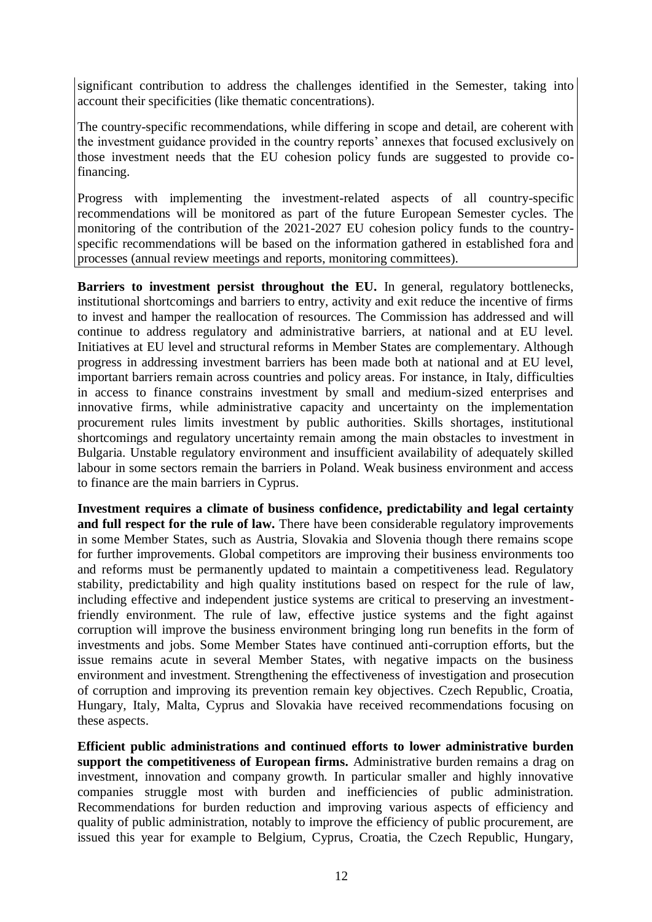significant contribution to address the challenges identified in the Semester, taking into account their specificities (like thematic concentrations).

The country-specific recommendations, while differing in scope and detail, are coherent with the investment guidance provided in the country reports' annexes that focused exclusively on those investment needs that the EU cohesion policy funds are suggested to provide cofinancing.

Progress with implementing the investment-related aspects of all country-specific recommendations will be monitored as part of the future European Semester cycles. The monitoring of the contribution of the 2021-2027 EU cohesion policy funds to the countryspecific recommendations will be based on the information gathered in established fora and processes (annual review meetings and reports, monitoring committees).

**Barriers to investment persist throughout the EU.** In general, regulatory bottlenecks, institutional shortcomings and barriers to entry, activity and exit reduce the incentive of firms to invest and hamper the reallocation of resources. The Commission has addressed and will continue to address regulatory and administrative barriers, at national and at EU level. Initiatives at EU level and structural reforms in Member States are complementary. Although progress in addressing investment barriers has been made both at national and at EU level, important barriers remain across countries and policy areas. For instance, in Italy, difficulties in access to finance constrains investment by small and medium-sized enterprises and innovative firms, while administrative capacity and uncertainty on the implementation procurement rules limits investment by public authorities. Skills shortages, institutional shortcomings and regulatory uncertainty remain among the main obstacles to investment in Bulgaria. Unstable regulatory environment and insufficient availability of adequately skilled labour in some sectors remain the barriers in Poland. Weak business environment and access to finance are the main barriers in Cyprus.

**Investment requires a climate of business confidence, predictability and legal certainty**  and full respect for the rule of law. There have been considerable regulatory improvements in some Member States, such as Austria, Slovakia and Slovenia though there remains scope for further improvements. Global competitors are improving their business environments too and reforms must be permanently updated to maintain a competitiveness lead. Regulatory stability, predictability and high quality institutions based on respect for the rule of law, including effective and independent justice systems are critical to preserving an investmentfriendly environment. The rule of law, effective justice systems and the fight against corruption will improve the business environment bringing long run benefits in the form of investments and jobs. Some Member States have continued anti-corruption efforts, but the issue remains acute in several Member States, with negative impacts on the business environment and investment. Strengthening the effectiveness of investigation and prosecution of corruption and improving its prevention remain key objectives. Czech Republic, Croatia, Hungary, Italy, Malta, Cyprus and Slovakia have received recommendations focusing on these aspects.

**Efficient public administrations and continued efforts to lower administrative burden support the competitiveness of European firms.** Administrative burden remains a drag on investment, innovation and company growth. In particular smaller and highly innovative companies struggle most with burden and inefficiencies of public administration. Recommendations for burden reduction and improving various aspects of efficiency and quality of public administration, notably to improve the efficiency of public procurement, are issued this year for example to Belgium, Cyprus, Croatia, the Czech Republic, Hungary,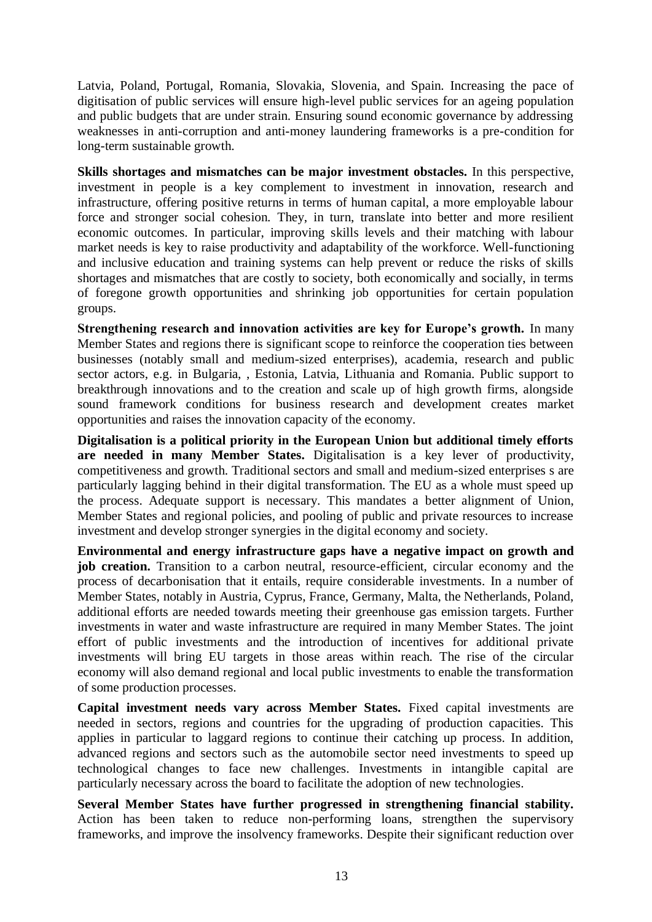Latvia, Poland, Portugal, Romania, Slovakia, Slovenia, and Spain. Increasing the pace of digitisation of public services will ensure high-level public services for an ageing population and public budgets that are under strain. Ensuring sound economic governance by addressing weaknesses in anti-corruption and anti-money laundering frameworks is a pre-condition for long-term sustainable growth.

**Skills shortages and mismatches can be major investment obstacles.** In this perspective, investment in people is a key complement to investment in innovation, research and infrastructure, offering positive returns in terms of human capital, a more employable labour force and stronger social cohesion. They, in turn, translate into better and more resilient economic outcomes. In particular, improving skills levels and their matching with labour market needs is key to raise productivity and adaptability of the workforce. Well-functioning and inclusive education and training systems can help prevent or reduce the risks of skills shortages and mismatches that are costly to society, both economically and socially, in terms of foregone growth opportunities and shrinking job opportunities for certain population groups.

**Strengthening research and innovation activities are key for Europe's growth.** In many Member States and regions there is significant scope to reinforce the cooperation ties between businesses (notably small and medium-sized enterprises), academia, research and public sector actors, e.g. in Bulgaria, , Estonia, Latvia, Lithuania and Romania. Public support to breakthrough innovations and to the creation and scale up of high growth firms, alongside sound framework conditions for business research and development creates market opportunities and raises the innovation capacity of the economy.

**Digitalisation is a political priority in the European Union but additional timely efforts are needed in many Member States.** Digitalisation is a key lever of productivity, competitiveness and growth. Traditional sectors and small and medium-sized enterprises s are particularly lagging behind in their digital transformation. The EU as a whole must speed up the process. Adequate support is necessary. This mandates a better alignment of Union, Member States and regional policies, and pooling of public and private resources to increase investment and develop stronger synergies in the digital economy and society.

**Environmental and energy infrastructure gaps have a negative impact on growth and**  job creation. Transition to a carbon neutral, resource-efficient, circular economy and the process of decarbonisation that it entails, require considerable investments. In a number of Member States, notably in Austria, Cyprus, France, Germany, Malta, the Netherlands, Poland, additional efforts are needed towards meeting their greenhouse gas emission targets. Further investments in water and waste infrastructure are required in many Member States. The joint effort of public investments and the introduction of incentives for additional private investments will bring EU targets in those areas within reach. The rise of the circular economy will also demand regional and local public investments to enable the transformation of some production processes.

**Capital investment needs vary across Member States.** Fixed capital investments are needed in sectors, regions and countries for the upgrading of production capacities. This applies in particular to laggard regions to continue their catching up process. In addition, advanced regions and sectors such as the automobile sector need investments to speed up technological changes to face new challenges. Investments in intangible capital are particularly necessary across the board to facilitate the adoption of new technologies.

**Several Member States have further progressed in strengthening financial stability.** Action has been taken to reduce non-performing loans, strengthen the supervisory frameworks, and improve the insolvency frameworks. Despite their significant reduction over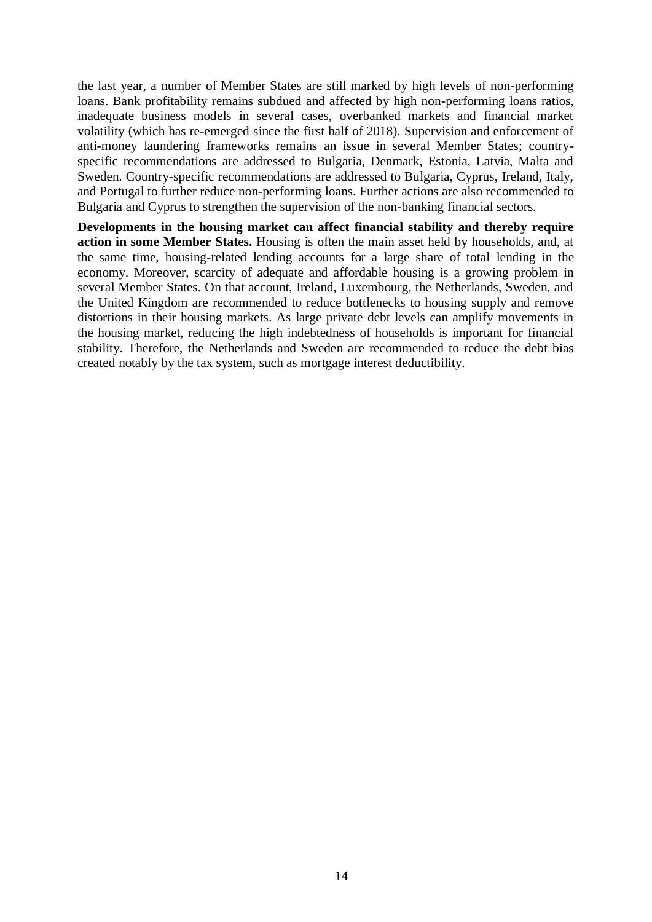the last year, a number of Member States are still marked by high levels of non-performing loans. Bank profitability remains subdued and affected by high non-performing loans ratios, inadequate business models in several cases, overbanked markets and financial market volatility (which has re-emerged since the first half of 2018). Supervision and enforcement of anti-money laundering frameworks remains an issue in several Member States; countryspecific recommendations are addressed to Bulgaria, Denmark, Estonia, Latvia, Malta and Sweden. Country-specific recommendations are addressed to Bulgaria, Cyprus, Ireland, Italy, and Portugal to further reduce non-performing loans. Further actions are also recommended to Bulgaria and Cyprus to strengthen the supervision of the non-banking financial sectors.

**Developments in the housing market can affect financial stability and thereby require action in some Member States.** Housing is often the main asset held by households, and, at the same time, housing-related lending accounts for a large share of total lending in the economy. Moreover, scarcity of adequate and affordable housing is a growing problem in several Member States. On that account, Ireland, Luxembourg, the Netherlands, Sweden, and the United Kingdom are recommended to reduce bottlenecks to housing supply and remove distortions in their housing markets. As large private debt levels can amplify movements in the housing market, reducing the high indebtedness of households is important for financial stability. Therefore, the Netherlands and Sweden are recommended to reduce the debt bias created notably by the tax system, such as mortgage interest deductibility.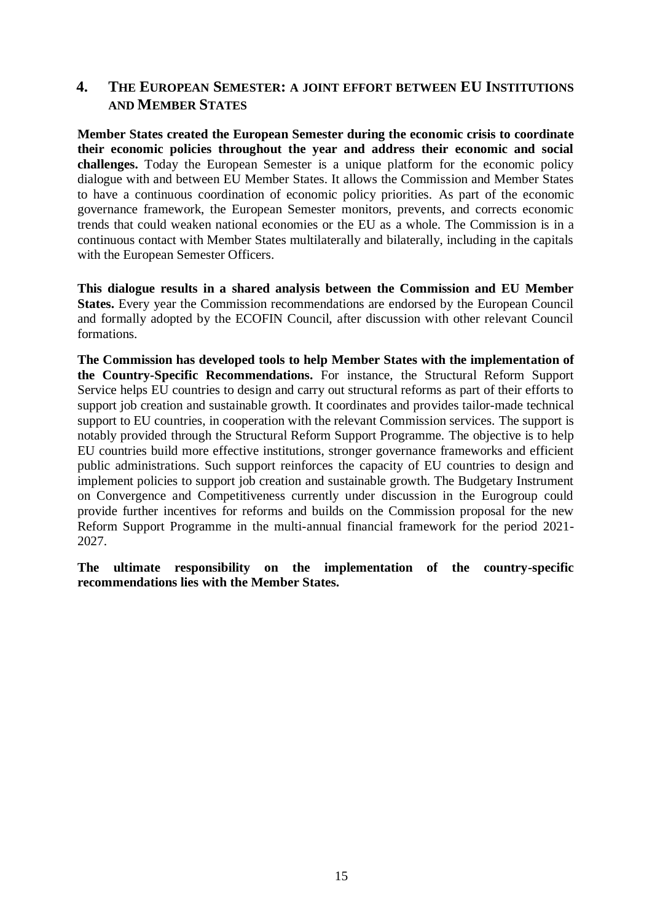### **4. THE EUROPEAN SEMESTER: A JOINT EFFORT BETWEEN EU INSTITUTIONS AND MEMBER STATES**

**Member States created the European Semester during the economic crisis to coordinate their economic policies throughout the year and address their economic and social challenges.** Today the European Semester is a unique platform for the economic policy dialogue with and between EU Member States. It allows the Commission and Member States to have a continuous coordination of economic policy priorities. As part of the economic governance framework, the European Semester monitors, prevents, and corrects economic trends that could weaken national economies or the EU as a whole. The Commission is in a continuous contact with Member States multilaterally and bilaterally, including in the capitals with the European Semester Officers.

**This dialogue results in a shared analysis between the Commission and EU Member States.** Every year the Commission recommendations are endorsed by the European Council and formally adopted by the ECOFIN Council, after discussion with other relevant Council formations.

**The Commission has developed tools to help Member States with the implementation of the Country-Specific Recommendations.** For instance, the Structural Reform Support Service helps EU countries to design and carry out structural reforms as part of their efforts to support job creation and sustainable growth. It coordinates and provides tailor-made technical support to EU countries, in cooperation with the relevant Commission services. [The support is](https://ec.europa.eu/info/funding-tenders/funding-opportunities/funding-programmes/overview-funding-programmes/structural-reform-support-programme-srsp_en)  [notably provided through the Structural Reform Support Programme.](https://ec.europa.eu/info/funding-tenders/funding-opportunities/funding-programmes/overview-funding-programmes/structural-reform-support-programme-srsp_en) The objective is to help EU countries build more effective institutions, stronger governance frameworks and efficient public administrations. Such support reinforces the capacity of EU countries to design and implement policies to support job creation and sustainable growth. The Budgetary Instrument on Convergence and Competitiveness currently under discussion in the Eurogroup could provide further incentives for reforms and builds on the Commission proposal for the new Reform Support Programme in the multi-annual financial framework for the period 2021- 2027.

**The ultimate responsibility on the implementation of the country-specific recommendations lies with the Member States.**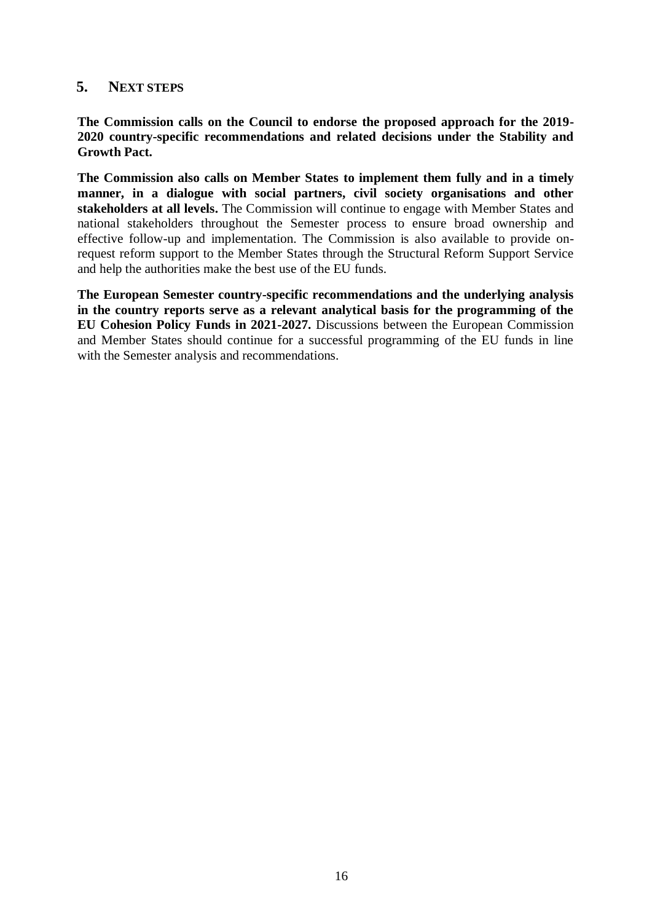### **5. NEXT STEPS**

**The Commission calls on the Council to endorse the proposed approach for the 2019- 2020 country-specific recommendations and related decisions under the Stability and Growth Pact.**

**The Commission also calls on Member States to implement them fully and in a timely manner, in a dialogue with social partners, civil society organisations and other stakeholders at all levels.** The Commission will continue to engage with Member States and national stakeholders throughout the Semester process to ensure broad ownership and effective follow-up and implementation. The Commission is also available to provide onrequest reform support to the Member States through the Structural Reform Support Service and help the authorities make the best use of the EU funds.

**The European Semester country-specific recommendations and the underlying analysis in the country reports serve as a relevant analytical basis for the programming of the EU Cohesion Policy Funds in 2021-2027.** Discussions between the European Commission and Member States should continue for a successful programming of the EU funds in line with the Semester analysis and recommendations.